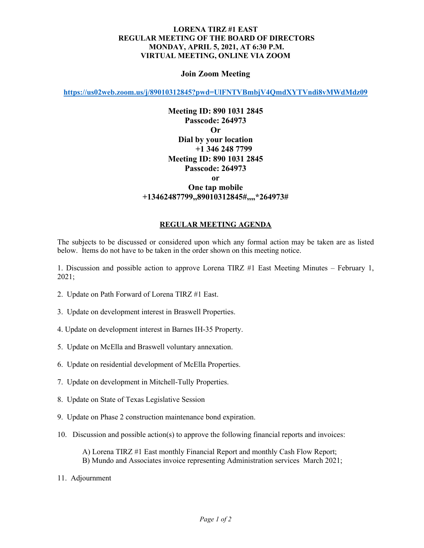## **LORENA TIRZ #1 EAST REGULAR MEETING OF THE BOARD OF DIRECTORS MONDAY, APRIL 5, 2021, AT 6:30 P.M. VIRTUAL MEETING, ONLINE VIA ZOOM**

## **Join Zoom Meeting**

**<https://us02web.zoom.us/j/89010312845?pwd=UlFNTVBmbjV4QmdXYTVndi8vMWdMdz09>**

**Meeting ID: 890 1031 2845 Passcode: 264973 Or Dial by your location +1 346 248 7799 Meeting ID: 890 1031 2845 Passcode: 264973 or One tap mobile +13462487799,,89010312845#,,,,\*264973#** 

## **REGULAR MEETING AGENDA**

The subjects to be discussed or considered upon which any formal action may be taken are as listed below. Items do not have to be taken in the order shown on this meeting notice.

1. Discussion and possible action to approve Lorena TIRZ #1 East Meeting Minutes – February 1, 2021;

- 2. Update on Path Forward of Lorena TIRZ #1 East.
- 3. Update on development interest in Braswell Properties.
- 4. Update on development interest in Barnes IH-35 Property.
- 5. Update on McElla and Braswell voluntary annexation.
- 6. Update on residential development of McElla Properties.
- 7. Update on development in Mitchell-Tully Properties.
- 8. Update on State of Texas Legislative Session
- 9. Update on Phase 2 construction maintenance bond expiration.
- 10. Discussion and possible action(s) to approve the following financial reports and invoices:
	- A) Lorena TIRZ #1 East monthly Financial Report and monthly Cash Flow Report; B) Mundo and Associates invoice representing Administration services March 2021;
- 11. Adjournment